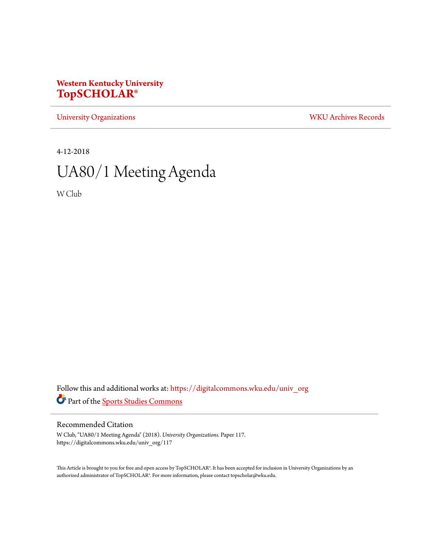# **Western Kentucky University [TopSCHOLAR®](https://digitalcommons.wku.edu?utm_source=digitalcommons.wku.edu%2Funiv_org%2F117&utm_medium=PDF&utm_campaign=PDFCoverPages)**

[University Organizations](https://digitalcommons.wku.edu/univ_org?utm_source=digitalcommons.wku.edu%2Funiv_org%2F117&utm_medium=PDF&utm_campaign=PDFCoverPages) [WKU Archives Records](https://digitalcommons.wku.edu/dlsc_ua_records?utm_source=digitalcommons.wku.edu%2Funiv_org%2F117&utm_medium=PDF&utm_campaign=PDFCoverPages)

4-12-2018

# UA80/1 Meeting Agenda

W Club

Follow this and additional works at: [https://digitalcommons.wku.edu/univ\\_org](https://digitalcommons.wku.edu/univ_org?utm_source=digitalcommons.wku.edu%2Funiv_org%2F117&utm_medium=PDF&utm_campaign=PDFCoverPages) Part of the [Sports Studies Commons](http://network.bepress.com/hgg/discipline/1198?utm_source=digitalcommons.wku.edu%2Funiv_org%2F117&utm_medium=PDF&utm_campaign=PDFCoverPages)

### Recommended Citation

W Club, "UA80/1 Meeting Agenda" (2018). *University Organizations.* Paper 117. https://digitalcommons.wku.edu/univ\_org/117

This Article is brought to you for free and open access by TopSCHOLAR®. It has been accepted for inclusion in University Organizations by an authorized administrator of TopSCHOLAR®. For more information, please contact topscholar@wku.edu.